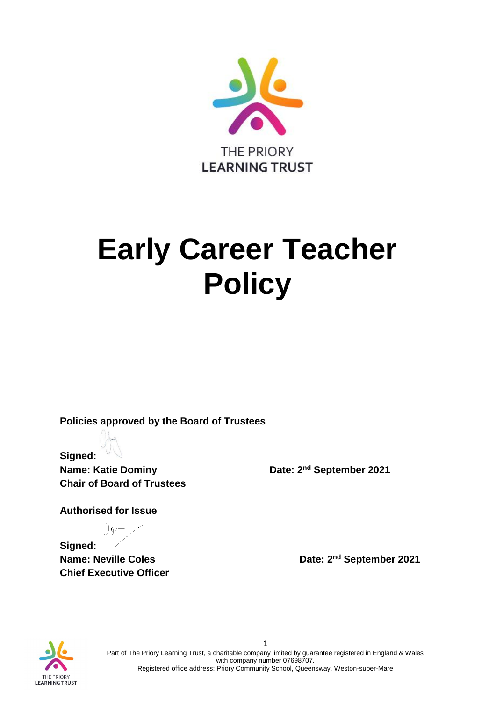

# **Early Career Teacher Policy**

**Policies approved by the Board of Trustees**

**Signed: Name: Katie Dominy Community Community Date: 2<sup>nd</sup> September 2021 Chair of Board of Trustees** 

**Authorised for Issue**

**Signed: Name: Neville Coles Date: 2<sup>nd</sup> September 2021 Chief Executive Officer**



1 Part of The Priory Learning Trust, a charitable company limited by guarantee registered in England & Wales with company number 07698707. Registered office address: Priory Community School, Queensway, Weston-super-Mare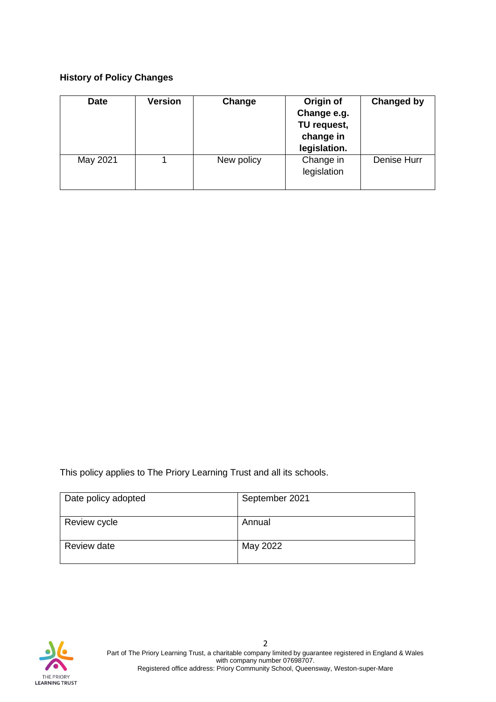## **History of Policy Changes**

| <b>Date</b> | <b>Version</b> | Change     | Origin of<br>Change e.g.<br>TU request,<br>change in<br>legislation. | Changed by  |
|-------------|----------------|------------|----------------------------------------------------------------------|-------------|
| May 2021    |                | New policy | Change in<br>legislation                                             | Denise Hurr |

This policy applies to The Priory Learning Trust and all its schools.

| Date policy adopted | September 2021 |
|---------------------|----------------|
| Review cycle        | Annual         |
| Review date         | May 2022       |

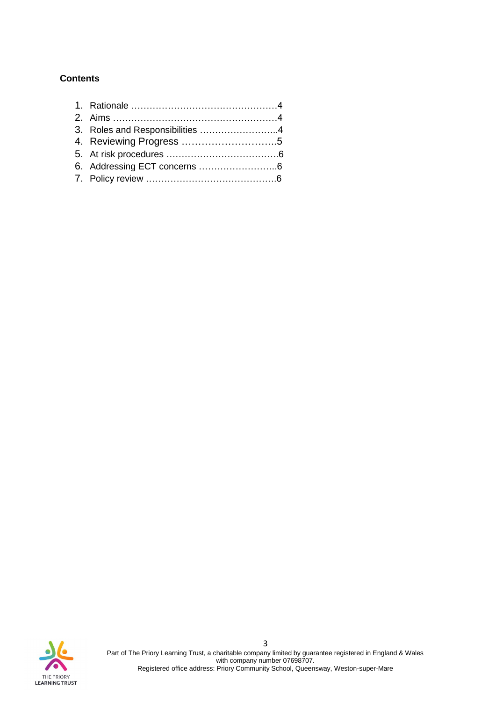# **Contents**

| 3. Roles and Responsibilities 4 |  |
|---------------------------------|--|
|                                 |  |
|                                 |  |
|                                 |  |
|                                 |  |
|                                 |  |

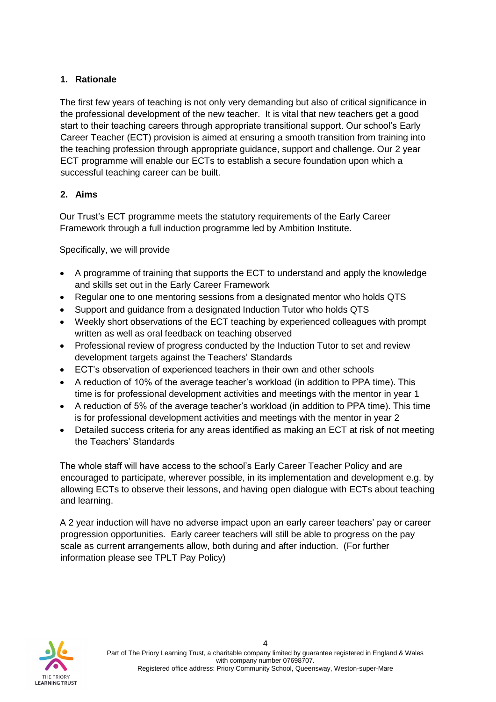# **1. Rationale**

The first few years of teaching is not only very demanding but also of critical significance in the professional development of the new teacher. It is vital that new teachers get a good start to their teaching careers through appropriate transitional support. Our school's Early Career Teacher (ECT) provision is aimed at ensuring a smooth transition from training into the teaching profession through appropriate guidance, support and challenge. Our 2 year ECT programme will enable our ECTs to establish a secure foundation upon which a successful teaching career can be built.

## **2. Aims**

Our Trust's ECT programme meets the statutory requirements of the Early Career Framework through a full induction programme led by Ambition Institute.

Specifically, we will provide

- A programme of training that supports the ECT to understand and apply the knowledge and skills set out in the Early Career Framework
- Regular one to one mentoring sessions from a designated mentor who holds QTS
- Support and guidance from a designated Induction Tutor who holds QTS
- Weekly short observations of the ECT teaching by experienced colleagues with prompt written as well as oral feedback on teaching observed
- Professional review of progress conducted by the Induction Tutor to set and review development targets against the Teachers' Standards
- ECT's observation of experienced teachers in their own and other schools
- A reduction of 10% of the average teacher's workload (in addition to PPA time). This time is for professional development activities and meetings with the mentor in year 1
- A reduction of 5% of the average teacher's workload (in addition to PPA time). This time is for professional development activities and meetings with the mentor in year 2
- Detailed success criteria for any areas identified as making an ECT at risk of not meeting the Teachers' Standards

The whole staff will have access to the school's Early Career Teacher Policy and are encouraged to participate, wherever possible, in its implementation and development e.g. by allowing ECTs to observe their lessons, and having open dialogue with ECTs about teaching and learning.

A 2 year induction will have no adverse impact upon an early career teachers' pay or career progression opportunities. Early career teachers will still be able to progress on the pay scale as current arrangements allow, both during and after induction. (For further information please see TPLT Pay Policy)

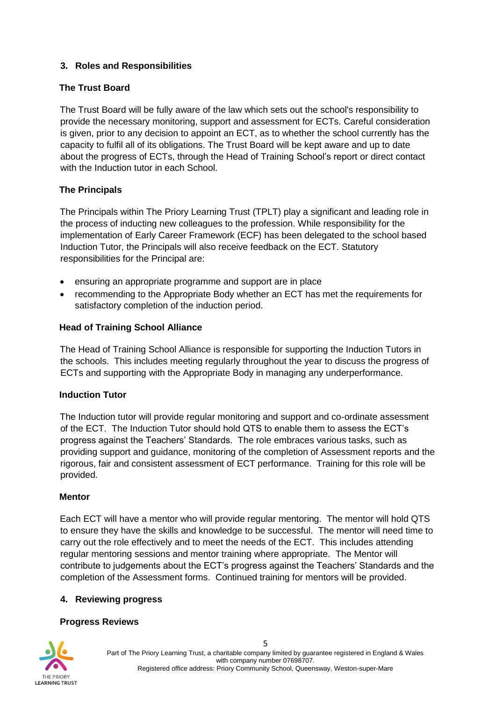# **3. Roles and Responsibilities**

#### **The Trust Board**

The Trust Board will be fully aware of the law which sets out the school's responsibility to provide the necessary monitoring, support and assessment for ECTs. Careful consideration is given, prior to any decision to appoint an ECT, as to whether the school currently has the capacity to fulfil all of its obligations. The Trust Board will be kept aware and up to date about the progress of ECTs, through the Head of Training School's report or direct contact with the Induction tutor in each School.

#### **The Principals**

The Principals within The Priory Learning Trust (TPLT) play a significant and leading role in the process of inducting new colleagues to the profession. While responsibility for the implementation of Early Career Framework (ECF) has been delegated to the school based Induction Tutor, the Principals will also receive feedback on the ECT. Statutory responsibilities for the Principal are:

- ensuring an appropriate programme and support are in place
- recommending to the Appropriate Body whether an ECT has met the requirements for satisfactory completion of the induction period.

#### **Head of Training School Alliance**

The Head of Training School Alliance is responsible for supporting the Induction Tutors in the schools. This includes meeting regularly throughout the year to discuss the progress of ECTs and supporting with the Appropriate Body in managing any underperformance.

#### **Induction Tutor**

The Induction tutor will provide regular monitoring and support and co-ordinate assessment of the ECT. The Induction Tutor should hold QTS to enable them to assess the ECT's progress against the Teachers' Standards. The role embraces various tasks, such as providing support and guidance, monitoring of the completion of Assessment reports and the rigorous, fair and consistent assessment of ECT performance. Training for this role will be provided.

#### **Mentor**

Each ECT will have a mentor who will provide regular mentoring. The mentor will hold QTS to ensure they have the skills and knowledge to be successful. The mentor will need time to carry out the role effectively and to meet the needs of the ECT. This includes attending regular mentoring sessions and mentor training where appropriate. The Mentor will contribute to judgements about the ECT's progress against the Teachers' Standards and the completion of the Assessment forms. Continued training for mentors will be provided.

#### **4. Reviewing progress**

#### **Progress Reviews**

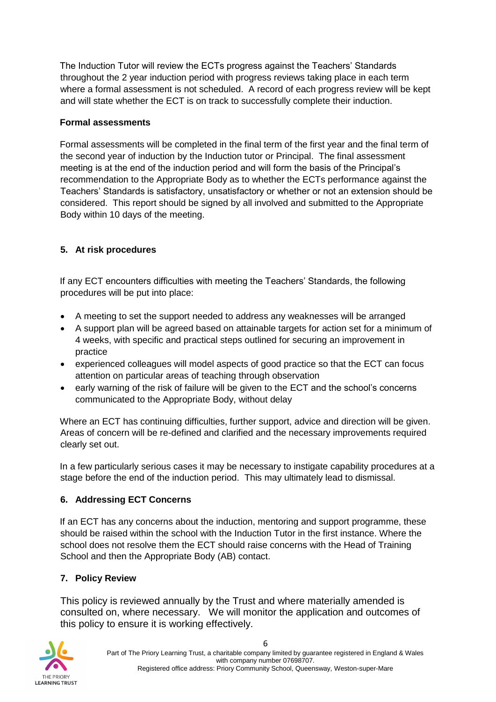The Induction Tutor will review the ECTs progress against the Teachers' Standards throughout the 2 year induction period with progress reviews taking place in each term where a formal assessment is not scheduled. A record of each progress review will be kept and will state whether the ECT is on track to successfully complete their induction.

## **Formal assessments**

Formal assessments will be completed in the final term of the first year and the final term of the second year of induction by the Induction tutor or Principal. The final assessment meeting is at the end of the induction period and will form the basis of the Principal's recommendation to the Appropriate Body as to whether the ECTs performance against the Teachers' Standards is satisfactory, unsatisfactory or whether or not an extension should be considered. This report should be signed by all involved and submitted to the Appropriate Body within 10 days of the meeting.

# **5. At risk procedures**

If any ECT encounters difficulties with meeting the Teachers' Standards, the following procedures will be put into place:

- A meeting to set the support needed to address any weaknesses will be arranged
- A support plan will be agreed based on attainable targets for action set for a minimum of 4 weeks, with specific and practical steps outlined for securing an improvement in practice
- experienced colleagues will model aspects of good practice so that the ECT can focus attention on particular areas of teaching through observation
- early warning of the risk of failure will be given to the ECT and the school's concerns communicated to the Appropriate Body, without delay

Where an ECT has continuing difficulties, further support, advice and direction will be given. Areas of concern will be re-defined and clarified and the necessary improvements required clearly set out.

In a few particularly serious cases it may be necessary to instigate capability procedures at a stage before the end of the induction period. This may ultimately lead to dismissal.

# **6. Addressing ECT Concerns**

If an ECT has any concerns about the induction, mentoring and support programme, these should be raised within the school with the Induction Tutor in the first instance. Where the school does not resolve them the ECT should raise concerns with the Head of Training School and then the Appropriate Body (AB) contact.

# **7. Policy Review**

This policy is reviewed annually by the Trust and where materially amended is consulted on, where necessary. We will monitor the application and outcomes of this policy to ensure it is working effectively.



6